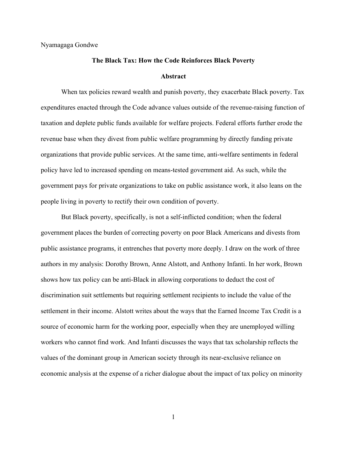Nyamagaga Gondwe

## **The Black Tax: How the Code Reinforces Black Poverty Abstract**

When tax policies reward wealth and punish poverty, they exacerbate Black poverty. Tax expenditures enacted through the Code advance values outside of the revenue-raising function of taxation and deplete public funds available for welfare projects. Federal efforts further erode the revenue base when they divest from public welfare programming by directly funding private organizations that provide public services. At the same time, anti-welfare sentiments in federal policy have led to increased spending on means-tested government aid. As such, while the government pays for private organizations to take on public assistance work, it also leans on the people living in poverty to rectify their own condition of poverty.

But Black poverty, specifically, is not a self-inflicted condition; when the federal government places the burden of correcting poverty on poor Black Americans and divests from public assistance programs, it entrenches that poverty more deeply. I draw on the work of three authors in my analysis: Dorothy Brown, Anne Alstott, and Anthony Infanti. In her work, Brown shows how tax policy can be anti-Black in allowing corporations to deduct the cost of discrimination suit settlements but requiring settlement recipients to include the value of the settlement in their income. Alstott writes about the ways that the Earned Income Tax Credit is a source of economic harm for the working poor, especially when they are unemployed willing workers who cannot find work. And Infanti discusses the ways that tax scholarship reflects the values of the dominant group in American society through its near-exclusive reliance on economic analysis at the expense of a richer dialogue about the impact of tax policy on minority

1